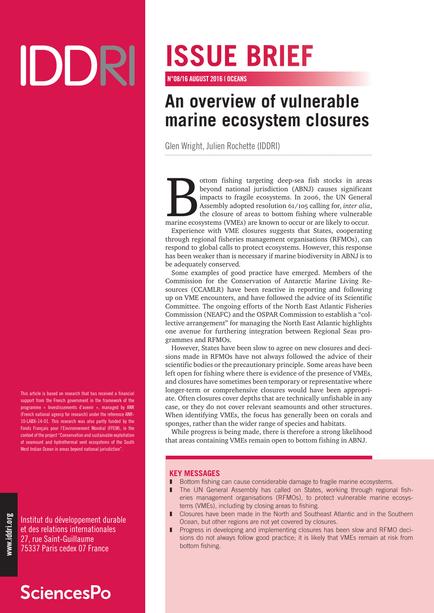# IDDRI

This article is based on research that has received a financial support from the French government in the framework of the programme « Investissements d'avenir », managed by ANR (French national agency for research) under the reference ANR-10-LABX-14-01. This research was also partly funded by the Fonds Français pour l'Environnement Mondial (FFEM), in the context of the project "Conservation and sustainable exploitation of seamount and hydrothermal vent ecosystems of the South West Indian Ocean in areas beyond national jurisdiction".

Institut du développement durable et des relations internationales 27, rue Saint-Guillaume 75337 Paris cedex 07 France

## **SciencesPo**

## **ISSUE BRIEF**

N°08/16 AUGUST 2016 | OCEANS

## **An overview of vulnerable marine ecosystem closures**

Glen Wright, Julien Rochette (IDDRI)

ottom fishing targeting deep-sea fish stocks in areas<br>beyond national jurisdiction (ABNJ) causes significant<br>impacts to fragile ecosystems. In 2006, the UN General<br>Assembly adopted resolution 61/105 calling for, *inter ali* beyond national jurisdiction (ABNJ) causes significant impacts to fragile ecosystems. In 2006, the UN General Assembly adopted resolution 61/105 calling for, *inter alia*, the closure of areas to bottom fishing where vulnerable marine ecosystems (VMEs) are known to occur or are likely to occur.

Experience with VME closures suggests that States, cooperating through regional fisheries management organisations (RFMOs), can respond to global calls to protect ecosystems. However, this response has been weaker than is necessary if marine biodiversity in ABNJ is to be adequately conserved*.*

Some examples of good practice have emerged. Members of the Commission for the Conservation of Antarctic Marine Living Resources (CCAMLR) have been reactive in reporting and following up on VME encounters, and have followed the advice of its Scientific Committee. The ongoing efforts of the North East Atlantic Fisheries Commission (NEAFC) and the OSPAR Commission to establish a "collective arrangement" for managing the North East Atlantic highlights one avenue for furthering integration between Regional Seas programmes and RFMOs.

However, States have been slow to agree on new closures and decisions made in RFMOs have not always followed the advice of their scientific bodies or the precautionary principle. Some areas have been left open for fishing where there is evidence of the presence of VMEs, and closures have sometimes been temporary or representative where longer-term or comprehensive closures would have been appropriate. Often closures cover depths that are technically unfishable in any case, or they do not cover relevant seamounts and other structures. When identifying VMEs, the focus has generally been on corals and sponges, rather than the wider range of species and habitats.

While progress is being made, there is therefore a strong likelihood that areas containing VMEs remain open to bottom fishing in ABNJ.

#### **KEY MESSAGES**

- Bottom fishing can cause considerable damage to fragile marine ecosystems.
- The UN General Assembly has called on States, working through regional fisheries management organisations (RFMOs), to protect vulnerable marine ecosystems (VMEs), including by closing areas to fishing.
- Closures have been made in the North and Southeast Atlantic and in the Southern Ocean, but other regions are not yet covered by closures.
- **I** Progress in developing and implementing closures has been slow and RFMO decisions do not always follow good practice; it is likely that VMEs remain at risk from bottom fishing.